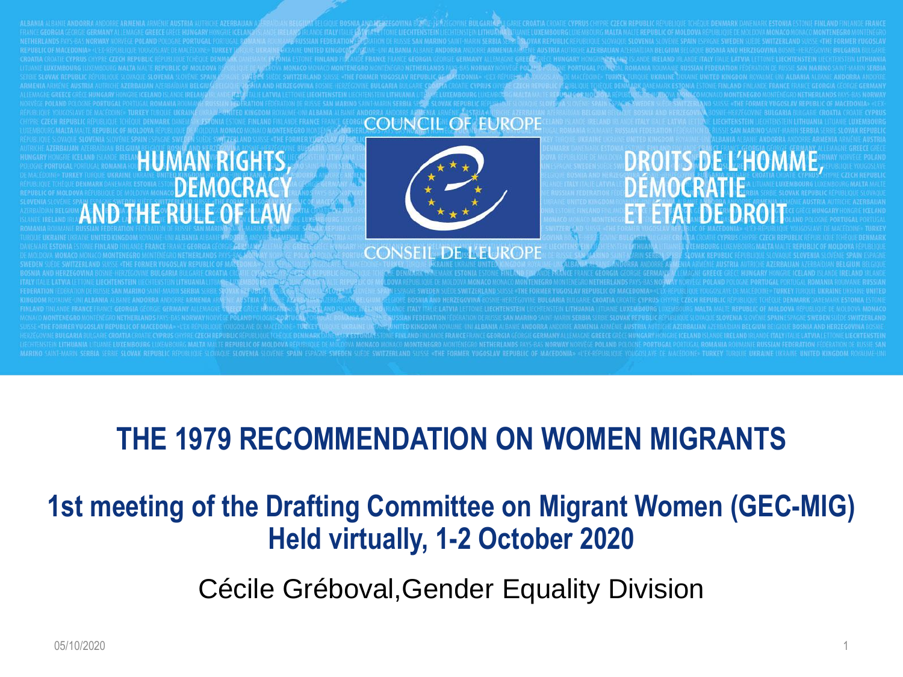#### **COUNCIL OF EUROPE**

#### **HUMAN RIGHTS, DEMOCRACY AND THE RULE OF LAW**



#### **CONSEIL DE L'EUROPE**

## **THE 1979 RECOMMENDATION ON WOMEN MIGRANTS**

## **1st meeting of the Drafting Committee on Migrant Women (GEC-MIG) Held virtually, 1-2 October 2020**

Cécile Gréboval,Gender Equality Division

**DROITS DE L'HOMME,** 

**DEMOCRATIE** 

**ET ÉTAT DE DROIT**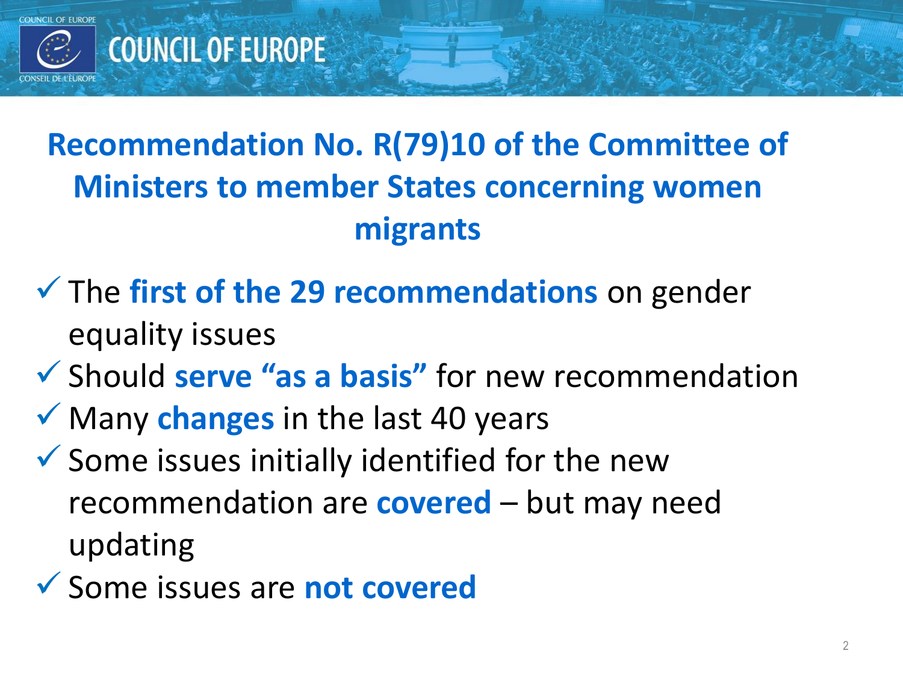

# **Recommendation No. R(79)10 of the Committee of Ministers to member States concerning women migrants**

- The **first of the 29 recommendations** on gender equality issues
- Should **serve "as a basis"** for new recommendation
- ◆ Many changes in the last 40 years
- $\checkmark$  Some issues initially identified for the new recommendation are **covered** – but may need updating
- Some issues are **not covered**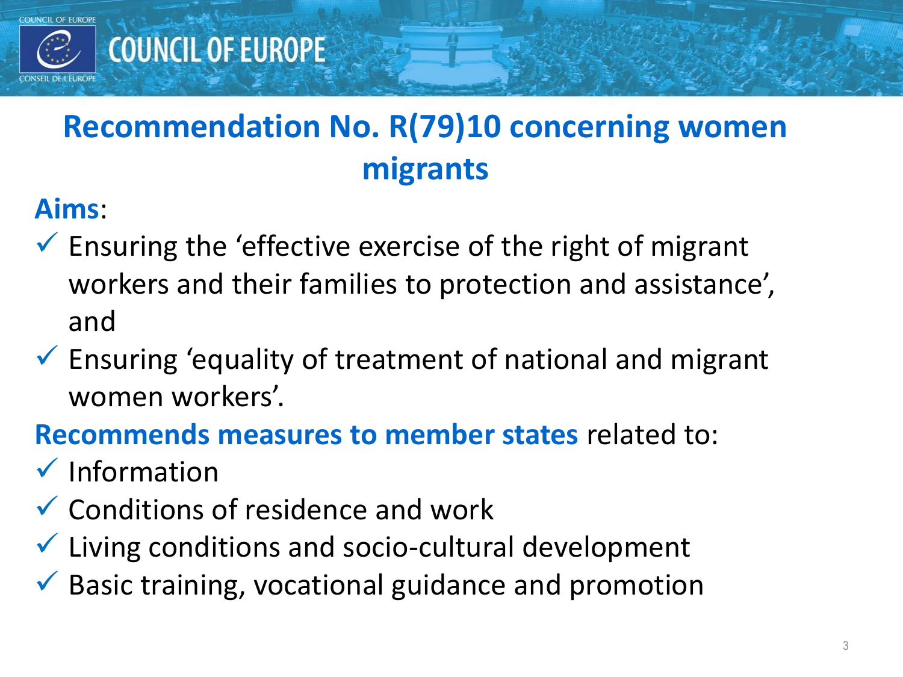

# **Recommendation No. R(79)10 concerning women migrants**

### **Aims**:

- $\checkmark$  Ensuring the 'effective exercise of the right of migrant workers and their families to protection and assistance', and
- $\checkmark$  Ensuring 'equality of treatment of national and migrant women workers'.

### **Recommends measures to member states** related to:

- $\checkmark$  Information
- $\checkmark$  Conditions of residence and work
- $\checkmark$  Living conditions and socio-cultural development
- $\checkmark$  Basic training, vocational guidance and promotion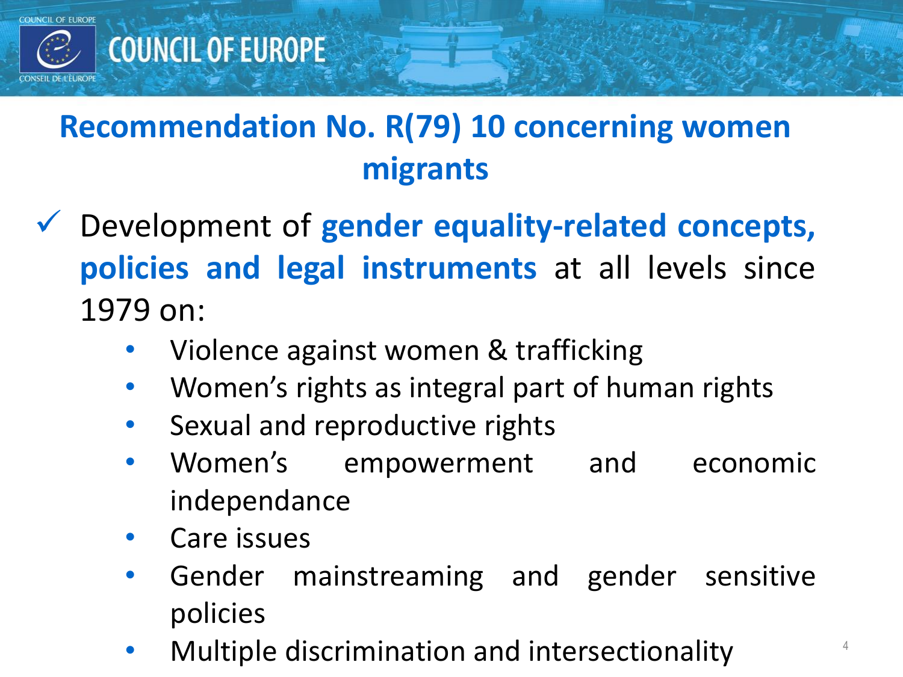

# **Recommendation No. R(79) 10 concerning women migrants**

- Development of **gender equality-related concepts, policies and legal instruments** at all levels since 1979 on:
	- Violence against women & trafficking
	- Women's rights as integral part of human rights
	- Sexual and reproductive rights
	- Women's empowerment and economic independance
	- Care issues
	- Gender mainstreaming and gender sensitive policies
	- Multiple discrimination and intersectionality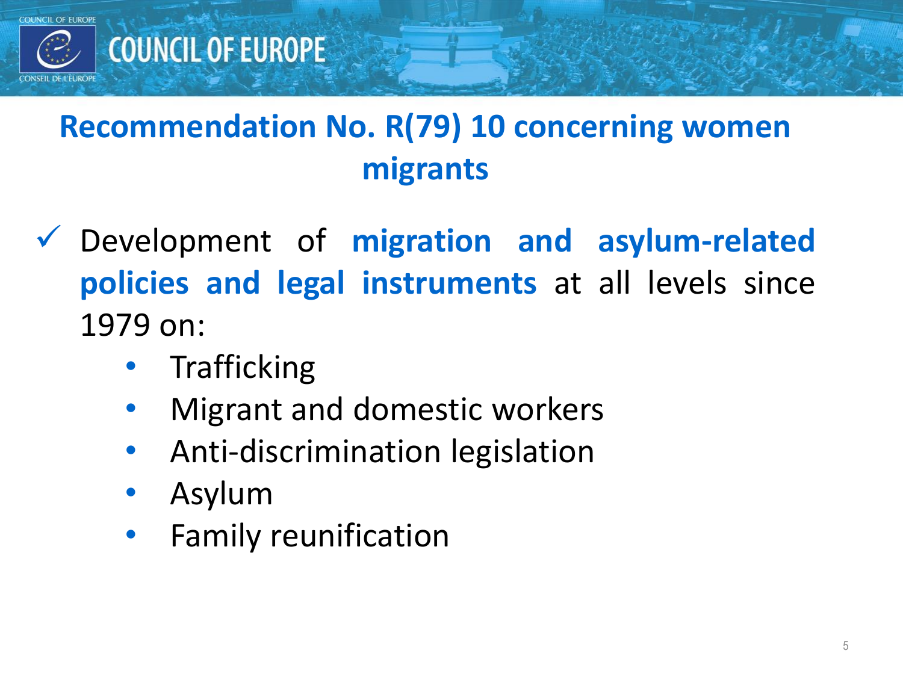

# **Recommendation No. R(79) 10 concerning women migrants**

- Development of **migration and asylum-related policies and legal instruments** at all levels since 1979 on:
	- **Trafficking**
	- Migrant and domestic workers
	- Anti-discrimination legislation
	- Asylum
	- Family reunification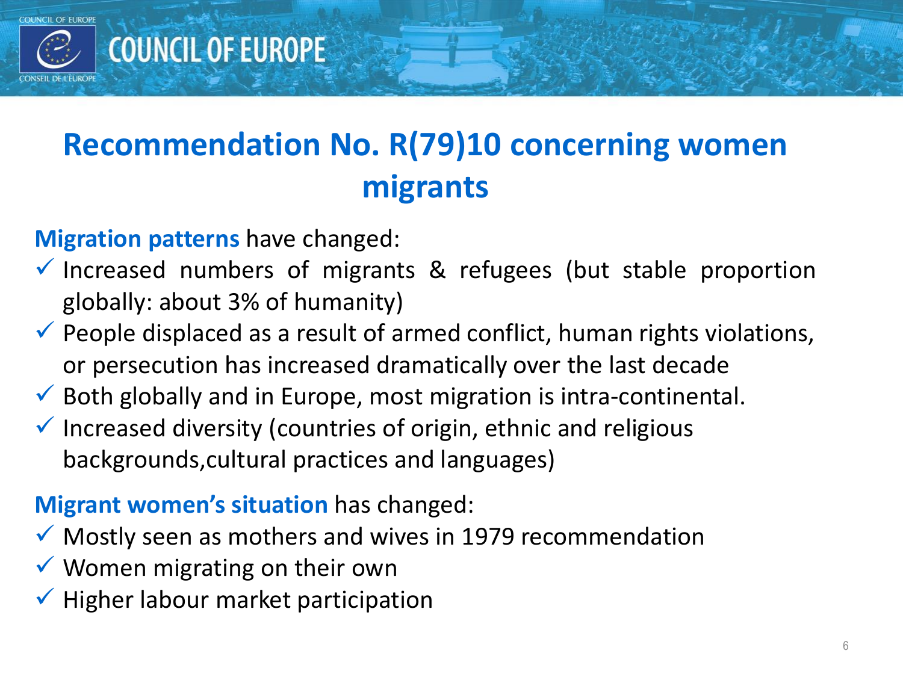

## **COUNCIL OF EUROPE**

## **Recommendation No. R(79)10 concerning women migrants**

#### **Migration patterns** have changed:

- $\checkmark$  Increased numbers of migrants & refugees (but stable proportion globally: about 3% of humanity)
- $\checkmark$  People displaced as a result of armed conflict, human rights violations, or persecution has increased dramatically over the last decade
- $\checkmark$  Both globally and in Europe, most migration is intra-continental.
- $\checkmark$  Increased diversity (countries of origin, ethnic and religious backgrounds,cultural practices and languages)

#### **Migrant women's situation** has changed:

- $\checkmark$  Mostly seen as mothers and wives in 1979 recommendation
- $\checkmark$  Women migrating on their own
- $\checkmark$  Higher labour market participation